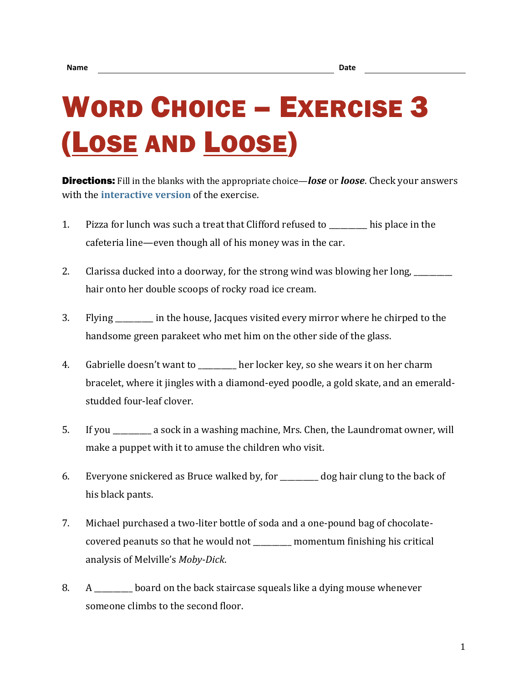## WORD CHOICE – EXERCISE 3 (LOSE AND LOOSE)

Directions: Fill in the blanks with the appropriate choice—*lose* or *loose*. Check your answers with the **[interactive version](https://chompchomp.com/hotpotatoes/wordchoice03.htm)** of the exercise.

- 1. Pizza for lunch was such a treat that Clifford refused to \_\_\_\_\_\_\_\_\_\_ his place in the cafeteria line—even though all of his money was in the car.
- 2. Clarissa ducked into a doorway, for the strong wind was blowing her long, where  $\frac{1}{2}$ hair onto her double scoops of rocky road ice cream.
- 3. Flying \_\_\_\_\_\_\_\_\_\_ in the house, Jacques visited every mirror where he chirped to the handsome green parakeet who met him on the other side of the glass.
- 4. Gabrielle doesn't want to \_\_\_\_\_\_\_\_\_\_ her locker key, so she wears it on her charm bracelet, where it jingles with a diamond-eyed poodle, a gold skate, and an emeraldstudded four-leaf clover.
- 5. If you \_\_\_\_\_\_\_\_\_\_ a sock in a washing machine, Mrs. Chen, the Laundromat owner, will make a puppet with it to amuse the children who visit.
- 6. Everyone snickered as Bruce walked by, for \_\_\_\_\_\_\_\_\_\_ dog hair clung to the back of his black pants.
- 7. Michael purchased a two-liter bottle of soda and a one-pound bag of chocolatecovered peanuts so that he would not \_\_\_\_\_\_\_\_\_\_ momentum finishing his critical analysis of Melville's *Moby-Dick*.
- 8. A \_\_\_\_\_\_\_\_\_\_ board on the back staircase squeals like a dying mouse whenever someone climbs to the second floor.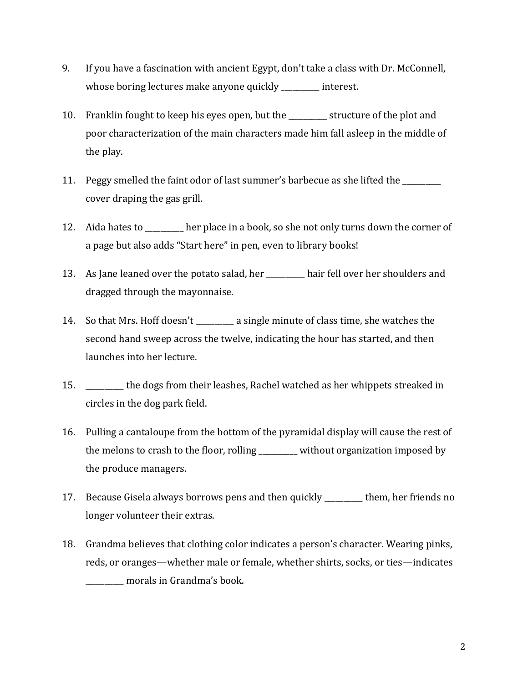- 9. If you have a fascination with ancient Egypt, don't take a class with Dr. McConnell, whose boring lectures make anyone quickly enterest.
- 10. Franklin fought to keep his eyes open, but the \_\_\_\_\_\_\_\_\_\_ structure of the plot and poor characterization of the main characters made him fall asleep in the middle of the play.
- 11. Peggy smelled the faint odor of last summer's barbecue as she lifted the \_\_\_\_\_\_\_ cover draping the gas grill.
- 12. Aida hates to \_\_\_\_\_\_\_\_\_\_ her place in a book, so she not only turns down the corner of a page but also adds "Start here" in pen, even to library books!
- 13. As Jane leaned over the potato salad, her \_\_\_\_\_\_\_\_\_\_ hair fell over her shoulders and dragged through the mayonnaise.
- 14. So that Mrs. Hoff doesn't \_\_\_\_\_\_\_\_\_\_ a single minute of class time, she watches the second hand sweep across the twelve, indicating the hour has started, and then launches into her lecture.
- 15. \_\_\_\_\_\_\_\_\_\_ the dogs from their leashes, Rachel watched as her whippets streaked in circles in the dog park field.
- 16. Pulling a cantaloupe from the bottom of the pyramidal display will cause the rest of the melons to crash to the floor, rolling \_\_\_\_\_\_\_\_\_\_ without organization imposed by the produce managers.
- 17. Because Gisela always borrows pens and then quickly \_\_\_\_\_\_\_\_\_\_ them, her friends no longer volunteer their extras.
- 18. Grandma believes that clothing color indicates a person's character. Wearing pinks, reds, or oranges—whether male or female, whether shirts, socks, or ties—indicates \_\_\_\_\_\_\_\_\_\_ morals in Grandma's book.